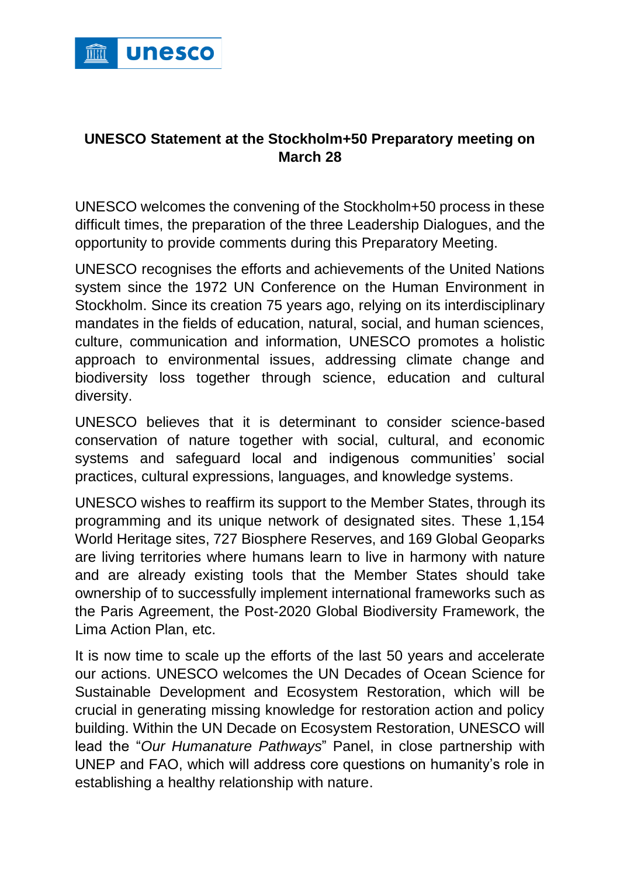

## **UNESCO Statement at the Stockholm+50 Preparatory meeting on March 28**

UNESCO welcomes the convening of the Stockholm+50 process in these difficult times, the preparation of the three Leadership Dialogues, and the opportunity to provide comments during this Preparatory Meeting.

UNESCO recognises the efforts and achievements of the United Nations system since the 1972 UN Conference on the Human Environment in Stockholm. Since its creation 75 years ago, relying on its interdisciplinary mandates in the fields of education, natural, social, and human sciences, culture, communication and information, UNESCO promotes a holistic approach to environmental issues, addressing climate change and biodiversity loss together through science, education and cultural diversity.

UNESCO believes that it is determinant to consider science-based conservation of nature together with social, cultural, and economic systems and safeguard local and indigenous communities' social practices, cultural expressions, languages, and knowledge systems.

UNESCO wishes to reaffirm its support to the Member States, through its programming and its unique network of designated sites. These 1,154 World Heritage sites, 727 Biosphere Reserves, and 169 Global Geoparks are living territories where humans learn to live in harmony with nature and are already existing tools that the Member States should take ownership of to successfully implement international frameworks such as the Paris Agreement, the Post-2020 Global Biodiversity Framework, the Lima Action Plan, etc.

It is now time to scale up the efforts of the last 50 years and accelerate our actions. UNESCO welcomes the UN Decades of Ocean Science for Sustainable Development and Ecosystem Restoration, which will be crucial in generating missing knowledge for restoration action and policy building. Within the UN Decade on Ecosystem Restoration, UNESCO will lead the "*Our Humanature Pathways*" Panel, in close partnership with UNEP and FAO, which will address core questions on humanity's role in establishing a healthy relationship with nature.